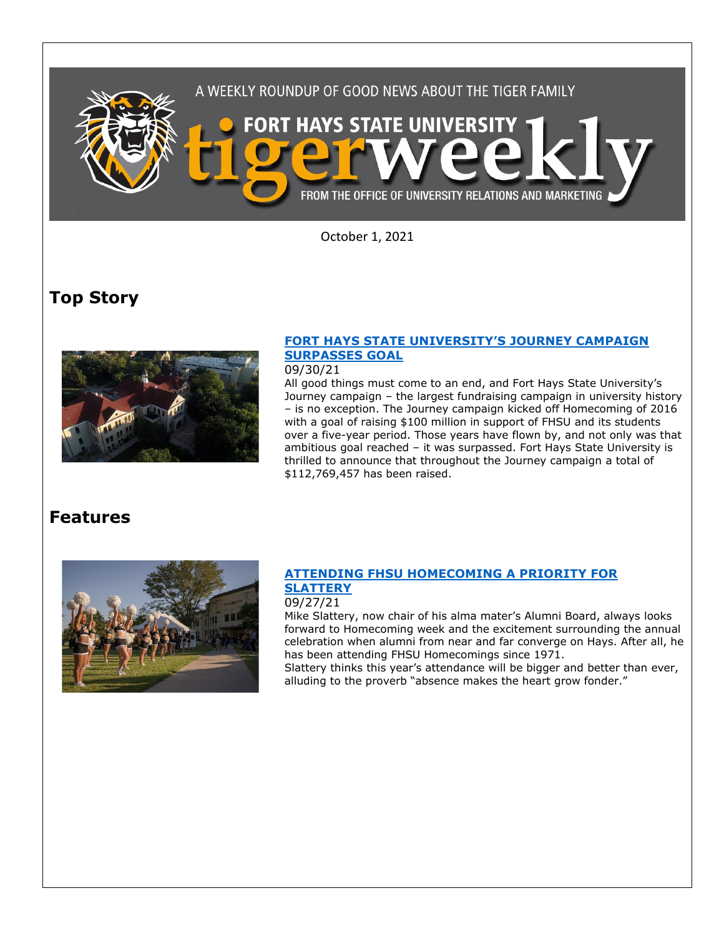

October 1, 2021

# **Top Story**



## **[FORT HAYS STATE UNIVERSITY](https://www.fhsu.edu/news/2021/09/fort-hays-state-universitys-journey-campaign-surpasses-goal)'S JOURNEY CAMPAIGN [SURPASSES GOAL](https://www.fhsu.edu/news/2021/09/fort-hays-state-universitys-journey-campaign-surpasses-goal)**

### 09/30/21

All good things must come to an end, and Fort Hays State University's Journey campaign – the largest fundraising campaign in university history – is no exception. The Journey campaign kicked off Homecoming of 2016 with a goal of raising \$100 million in support of FHSU and its students over a five-year period. Those years have flown by, and not only was that ambitious goal reached – it was surpassed. Fort Hays State University is thrilled to announce that throughout the Journey campaign a total of \$112,769,457 has been raised.

# **Features**



### **[ATTENDING FHSU HOMECOMING A PRIORITY FOR](https://www.fhsu.edu/news/2021/09/attending-fhsu-homecoming-a-priority-for-slattery)  [SLATTERY](https://www.fhsu.edu/news/2021/09/attending-fhsu-homecoming-a-priority-for-slattery)**

#### 09/27/21

Mike Slattery, now chair of his alma mater's Alumni Board, always looks forward to Homecoming week and the excitement surrounding the annual celebration when alumni from near and far converge on Hays. After all, he has been attending FHSU Homecomings since 1971.

Slattery thinks this year's attendance will be bigger and better than ever, alluding to the proverb "absence makes the heart grow fonder."